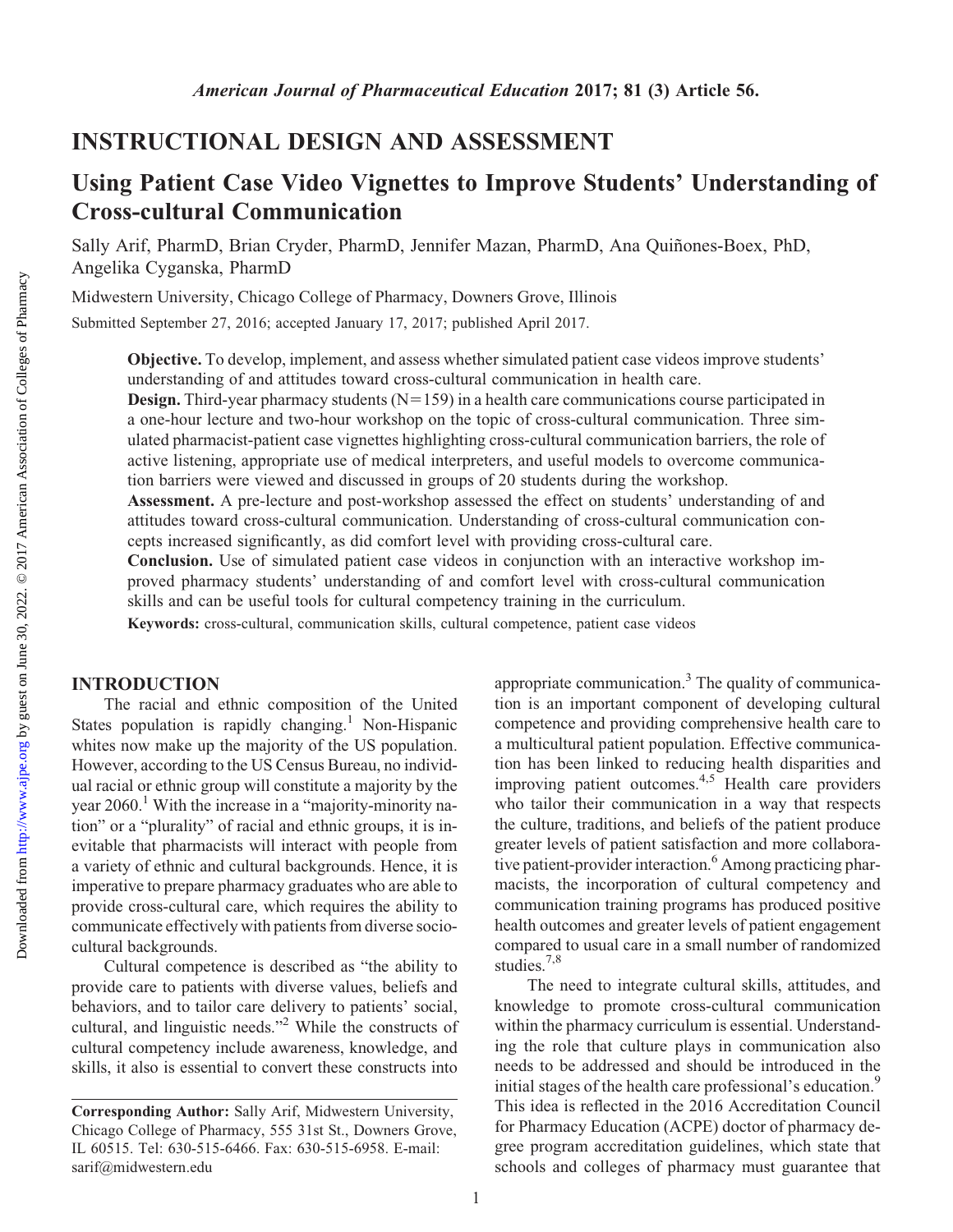<http://www.ajpe.org>

Downloaded from

# INSTRUCTIONAL DESIGN AND ASSESSMENT

# Using Patient Case Video Vignettes to Improve Students' Understanding of Cross-cultural Communication

Sally Arif, PharmD, Brian Cryder, PharmD, Jennifer Mazan, PharmD, Ana Quiñones-Boex, PhD, Angelika Cyganska, PharmD

Midwestern University, Chicago College of Pharmacy, Downers Grove, Illinois

Submitted September 27, 2016; accepted January 17, 2017; published April 2017.

Objective. To develop, implement, and assess whether simulated patient case videos improve students' understanding of and attitudes toward cross-cultural communication in health care.

**Design.** Third-year pharmacy students  $(N=159)$  in a health care communications course participated in a one-hour lecture and two-hour workshop on the topic of cross-cultural communication. Three simulated pharmacist-patient case vignettes highlighting cross-cultural communication barriers, the role of active listening, appropriate use of medical interpreters, and useful models to overcome communication barriers were viewed and discussed in groups of 20 students during the workshop.

Assessment. A pre-lecture and post-workshop assessed the effect on students' understanding of and attitudes toward cross-cultural communication. Understanding of cross-cultural communication concepts increased significantly, as did comfort level with providing cross-cultural care.

Conclusion. Use of simulated patient case videos in conjunction with an interactive workshop improved pharmacy students' understanding of and comfort level with cross-cultural communication skills and can be useful tools for cultural competency training in the curriculum.

Keywords: cross-cultural, communication skills, cultural competence, patient case videos

## INTRODUCTION

The racial and ethnic composition of the United States population is rapidly changing.<sup>1</sup> Non-Hispanic whites now make up the majority of the US population. However, according to the US Census Bureau, no individual racial or ethnic group will constitute a majority by the year  $2060$ .<sup>1</sup> With the increase in a "majority-minority nation" or a "plurality" of racial and ethnic groups, it is inevitable that pharmacists will interact with people from a variety of ethnic and cultural backgrounds. Hence, it is imperative to prepare pharmacy graduates who are able to provide cross-cultural care, which requires the ability to communicate effectively with patients from diverse sociocultural backgrounds.

Cultural competence is described as "the ability to provide care to patients with diverse values, beliefs and behaviors, and to tailor care delivery to patients' social, cultural, and linguistic needs."2 While the constructs of cultural competency include awareness, knowledge, and skills, it also is essential to convert these constructs into appropriate communication. $3$  The quality of communication is an important component of developing cultural competence and providing comprehensive health care to a multicultural patient population. Effective communication has been linked to reducing health disparities and improving patient outcomes.<sup>4,5</sup> Health care providers who tailor their communication in a way that respects the culture, traditions, and beliefs of the patient produce greater levels of patient satisfaction and more collaborative patient-provider interaction.<sup>6</sup> Among practicing pharmacists, the incorporation of cultural competency and communication training programs has produced positive health outcomes and greater levels of patient engagement compared to usual care in a small number of randomized studies.<sup>7,8</sup>

The need to integrate cultural skills, attitudes, and knowledge to promote cross-cultural communication within the pharmacy curriculum is essential. Understanding the role that culture plays in communication also needs to be addressed and should be introduced in the initial stages of the health care professional's education.<sup>9</sup> This idea is reflected in the 2016 Accreditation Council for Pharmacy Education (ACPE) doctor of pharmacy degree program accreditation guidelines, which state that schools and colleges of pharmacy must guarantee that

Corresponding Author: Sally Arif, Midwestern University, Chicago College of Pharmacy, 555 31st St., Downers Grove, IL 60515. Tel: 630-515-6466. Fax: 630-515-6958. E-mail: [sarif@midwestern.edu](mailto:sarif@midwestern.edu)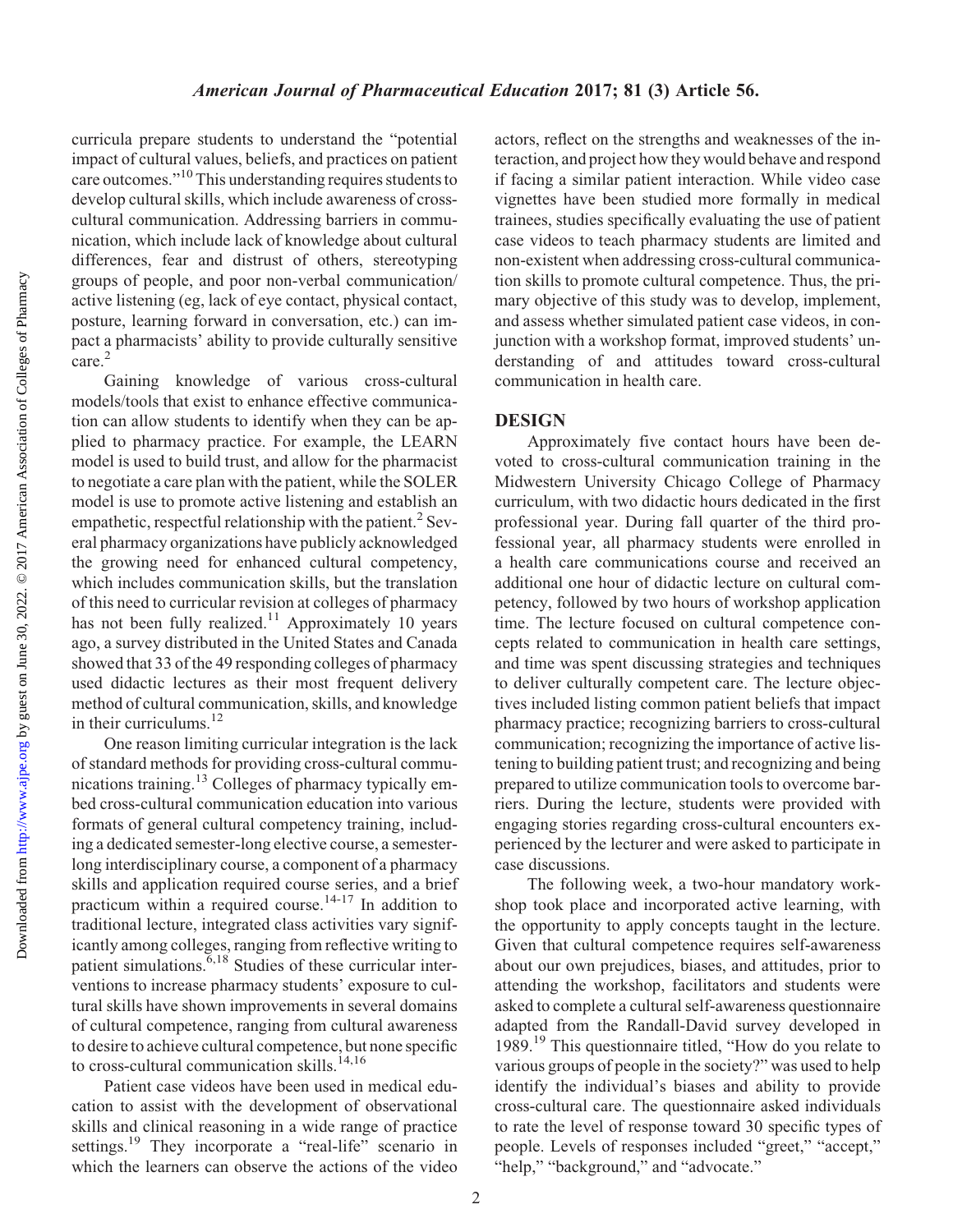Downloaded from

curricula prepare students to understand the "potential impact of cultural values, beliefs, and practices on patient care outcomes."<sup>10</sup> This understanding requires students to develop cultural skills, which include awareness of crosscultural communication. Addressing barriers in communication, which include lack of knowledge about cultural differences, fear and distrust of others, stereotyping groups of people, and poor non-verbal communication/ active listening (eg, lack of eye contact, physical contact, posture, learning forward in conversation, etc.) can impact a pharmacists' ability to provide culturally sensitive care.<sup>2</sup>

Gaining knowledge of various cross-cultural models/tools that exist to enhance effective communication can allow students to identify when they can be applied to pharmacy practice. For example, the LEARN model is used to build trust, and allow for the pharmacist to negotiate a care plan with the patient, while the SOLER model is use to promote active listening and establish an empathetic, respectful relationship with the patient.<sup>2</sup> Several pharmacy organizations have publicly acknowledged the growing need for enhanced cultural competency, which includes communication skills, but the translation of this need to curricular revision at colleges of pharmacy has not been fully realized.<sup>11</sup> Approximately 10 years ago, a survey distributed in the United States and Canada showed that 33 of the 49 responding colleges of pharmacy used didactic lectures as their most frequent delivery method of cultural communication, skills, and knowledge in their curriculums.<sup>12</sup>

One reason limiting curricular integration is the lack of standard methods for providing cross-cultural communications training.13 Colleges of pharmacy typically embed cross-cultural communication education into various formats of general cultural competency training, including a dedicated semester-long elective course, a semesterlong interdisciplinary course, a component of a pharmacy skills and application required course series, and a brief practicum within a required course.<sup>14-17</sup> In addition to traditional lecture, integrated class activities vary significantly among colleges, ranging from reflective writing to patient simulations.  $6,18$  Studies of these curricular interventions to increase pharmacy students' exposure to cultural skills have shown improvements in several domains of cultural competence, ranging from cultural awareness to desire to achieve cultural competence, but none specific to cross-cultural communication skills.<sup>14,16</sup>

Patient case videos have been used in medical education to assist with the development of observational skills and clinical reasoning in a wide range of practice settings.<sup>19</sup> They incorporate a "real-life" scenario in which the learners can observe the actions of the video

actors, reflect on the strengths and weaknesses of the interaction, and project how they would behave and respond if facing a similar patient interaction. While video case vignettes have been studied more formally in medical trainees, studies specifically evaluating the use of patient case videos to teach pharmacy students are limited and non-existent when addressing cross-cultural communication skills to promote cultural competence. Thus, the primary objective of this study was to develop, implement, and assess whether simulated patient case videos, in conjunction with a workshop format, improved students' understanding of and attitudes toward cross-cultural communication in health care.

## DESIGN

Approximately five contact hours have been devoted to cross-cultural communication training in the Midwestern University Chicago College of Pharmacy curriculum, with two didactic hours dedicated in the first professional year. During fall quarter of the third professional year, all pharmacy students were enrolled in a health care communications course and received an additional one hour of didactic lecture on cultural competency, followed by two hours of workshop application time. The lecture focused on cultural competence concepts related to communication in health care settings, and time was spent discussing strategies and techniques to deliver culturally competent care. The lecture objectives included listing common patient beliefs that impact pharmacy practice; recognizing barriers to cross-cultural communication; recognizing the importance of active listening to building patient trust; and recognizing and being prepared to utilize communication tools to overcome barriers. During the lecture, students were provided with engaging stories regarding cross-cultural encounters experienced by the lecturer and were asked to participate in case discussions.

The following week, a two-hour mandatory workshop took place and incorporated active learning, with the opportunity to apply concepts taught in the lecture. Given that cultural competence requires self-awareness about our own prejudices, biases, and attitudes, prior to attending the workshop, facilitators and students were asked to complete a cultural self-awareness questionnaire adapted from the Randall-David survey developed in 1989.<sup>19</sup> This questionnaire titled, "How do you relate to various groups of people in the society?" was used to help identify the individual's biases and ability to provide cross-cultural care. The questionnaire asked individuals to rate the level of response toward 30 specific types of people. Levels of responses included "greet," "accept," "help," "background," and "advocate."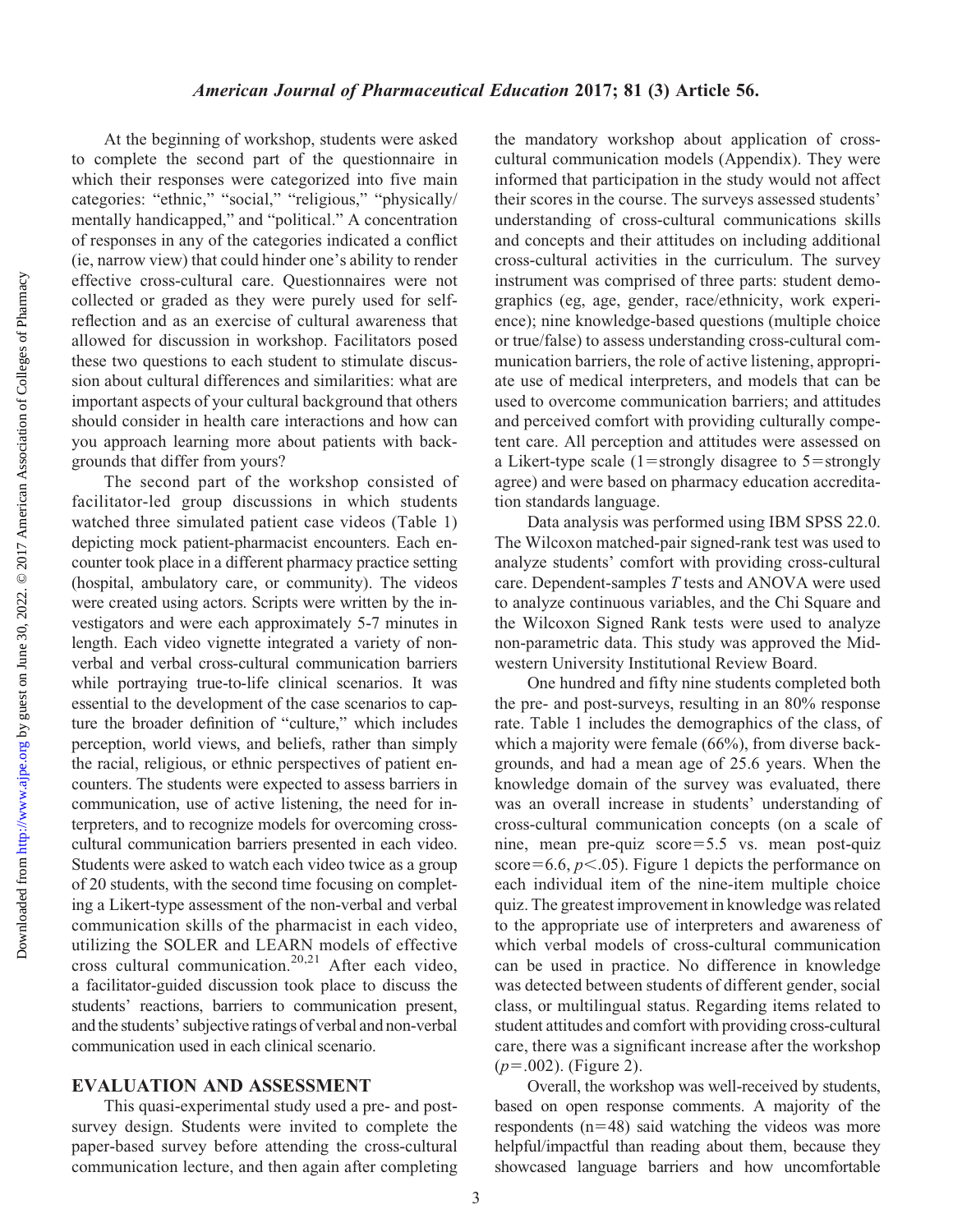At the beginning of workshop, students were asked to complete the second part of the questionnaire in which their responses were categorized into five main categories: "ethnic," "social," "religious," "physically/ mentally handicapped," and "political." A concentration of responses in any of the categories indicated a conflict (ie, narrow view) that could hinder one's ability to render effective cross-cultural care. Questionnaires were not collected or graded as they were purely used for selfreflection and as an exercise of cultural awareness that allowed for discussion in workshop. Facilitators posed these two questions to each student to stimulate discussion about cultural differences and similarities: what are important aspects of your cultural background that others should consider in health care interactions and how can you approach learning more about patients with backgrounds that differ from yours?

The second part of the workshop consisted of facilitator-led group discussions in which students watched three simulated patient case videos (Table 1) depicting mock patient-pharmacist encounters. Each encounter took place in a different pharmacy practice setting (hospital, ambulatory care, or community). The videos were created using actors. Scripts were written by the investigators and were each approximately 5-7 minutes in length. Each video vignette integrated a variety of nonverbal and verbal cross-cultural communication barriers while portraying true-to-life clinical scenarios. It was essential to the development of the case scenarios to capture the broader definition of "culture," which includes perception, world views, and beliefs, rather than simply the racial, religious, or ethnic perspectives of patient encounters. The students were expected to assess barriers in communication, use of active listening, the need for interpreters, and to recognize models for overcoming crosscultural communication barriers presented in each video. Students were asked to watch each video twice as a group of 20 students, with the second time focusing on completing a Likert-type assessment of the non-verbal and verbal communication skills of the pharmacist in each video, utilizing the SOLER and LEARN models of effective cross cultural communication.<sup>20,21</sup> After each video, a facilitator-guided discussion took place to discuss the students' reactions, barriers to communication present, and the students' subjective ratings of verbal and non-verbal communication used in each clinical scenario.

#### EVALUATION AND ASSESSMENT

This quasi-experimental study used a pre- and postsurvey design. Students were invited to complete the paper-based survey before attending the cross-cultural communication lecture, and then again after completing

the mandatory workshop about application of crosscultural communication models (Appendix). They were informed that participation in the study would not affect their scores in the course. The surveys assessed students' understanding of cross-cultural communications skills and concepts and their attitudes on including additional cross-cultural activities in the curriculum. The survey instrument was comprised of three parts: student demographics (eg, age, gender, race/ethnicity, work experience); nine knowledge-based questions (multiple choice or true/false) to assess understanding cross-cultural communication barriers, the role of active listening, appropriate use of medical interpreters, and models that can be used to overcome communication barriers; and attitudes and perceived comfort with providing culturally competent care. All perception and attitudes were assessed on a Likert-type scale  $(1=$ strongly disagree to  $5=$ strongly agree) and were based on pharmacy education accreditation standards language.

Data analysis was performed using IBM SPSS 22.0. The Wilcoxon matched-pair signed-rank test was used to analyze students' comfort with providing cross-cultural care. Dependent-samples T tests and ANOVA were used to analyze continuous variables, and the Chi Square and the Wilcoxon Signed Rank tests were used to analyze non-parametric data. This study was approved the Midwestern University Institutional Review Board.

One hundred and fifty nine students completed both the pre- and post-surveys, resulting in an 80% response rate. Table 1 includes the demographics of the class, of which a majority were female (66%), from diverse backgrounds, and had a mean age of 25.6 years. When the knowledge domain of the survey was evaluated, there was an overall increase in students' understanding of cross-cultural communication concepts (on a scale of nine, mean pre-quiz score=5.5 vs. mean post-quiz score=6.6,  $p<.05$ ). Figure 1 depicts the performance on each individual item of the nine-item multiple choice quiz. The greatest improvement in knowledge was related to the appropriate use of interpreters and awareness of which verbal models of cross-cultural communication can be used in practice. No difference in knowledge was detected between students of different gender, social class, or multilingual status. Regarding items related to student attitudes and comfort with providing cross-cultural care, there was a significant increase after the workshop  $(p=.002)$ . (Figure 2).

Overall, the workshop was well-received by students, based on open response comments. A majority of the respondents  $(n=48)$  said watching the videos was more helpful/impactful than reading about them, because they showcased language barriers and how uncomfortable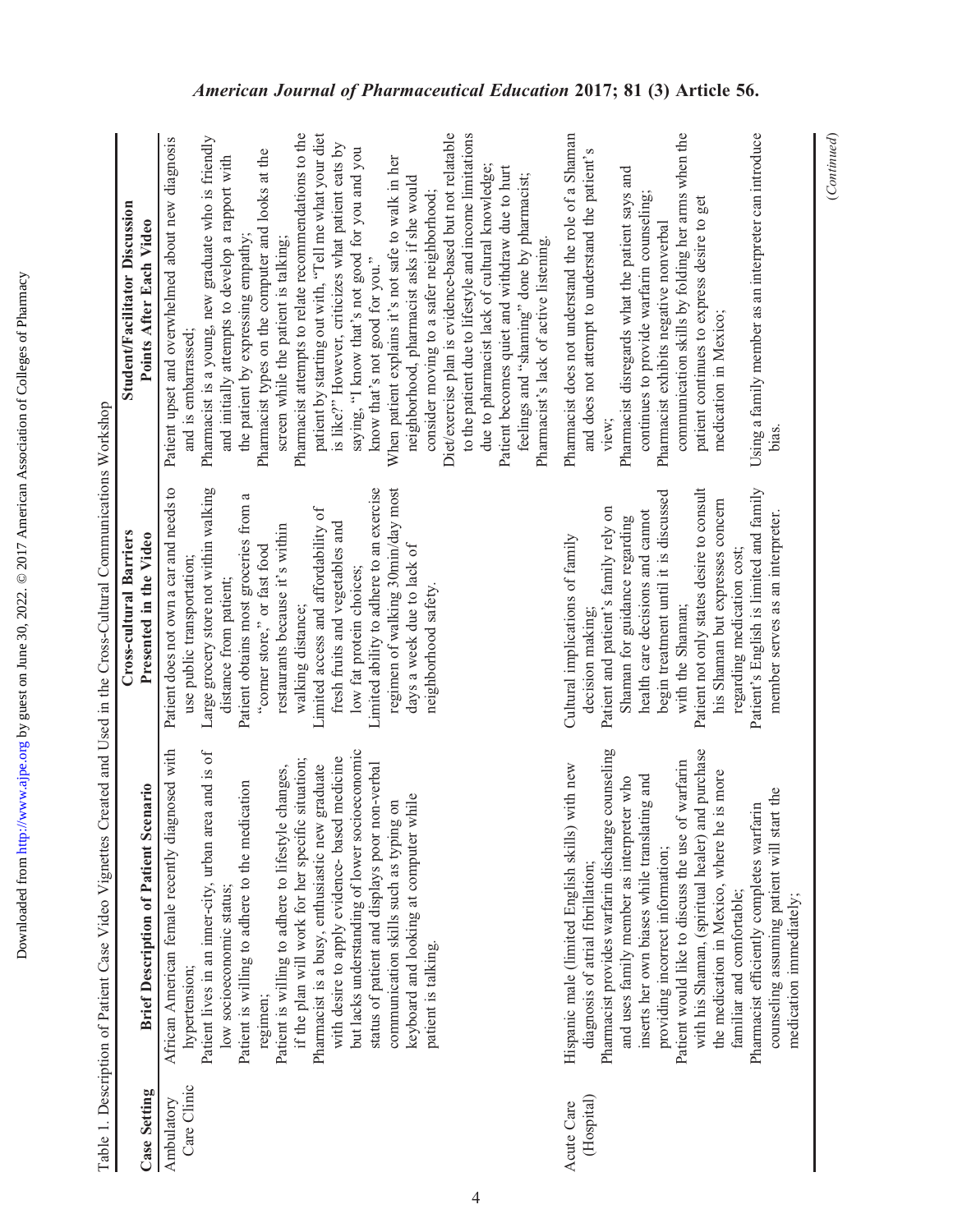| ļ                                                                                              |
|------------------------------------------------------------------------------------------------|
|                                                                                                |
|                                                                                                |
|                                                                                                |
|                                                                                                |
|                                                                                                |
|                                                                                                |
|                                                                                                |
|                                                                                                |
|                                                                                                |
|                                                                                                |
|                                                                                                |
|                                                                                                |
|                                                                                                |
|                                                                                                |
| i                                                                                              |
| ì                                                                                              |
|                                                                                                |
| i                                                                                              |
| l                                                                                              |
| ֦֧                                                                                             |
|                                                                                                |
|                                                                                                |
|                                                                                                |
|                                                                                                |
|                                                                                                |
|                                                                                                |
|                                                                                                |
|                                                                                                |
|                                                                                                |
| i                                                                                              |
|                                                                                                |
|                                                                                                |
|                                                                                                |
| ֖֖֖֖֖֖֖֖֖֖֖֖֖֧֖֖ׅ֖֚֚֚֚֚֚֚֚֚֚֚֚֚֚֚֚֚֚֚֚֚֚֚֚֚֚֚֚֬֡֡֡֡֡֬֝֬֝֝֓֞֞֝֓֞֬֝֓֞֞֞֞֝֬֝֓֞֬֝֬֝֓֞֬֝֬֝֬֝֬֝֞֝֬֝֬ |
|                                                                                                |
|                                                                                                |
|                                                                                                |
|                                                                                                |
|                                                                                                |
|                                                                                                |
| i<br>İ                                                                                         |
| ļ<br>ı                                                                                         |
|                                                                                                |
|                                                                                                |
|                                                                                                |
|                                                                                                |

|                           | Table 1. Description of Patient Case Video Vignettes Created and Used in the Cross-Cultural Communications Workshop                                                                                                                                                                                                                                                                                                                                                                                                                                                                                                                                   |                                                                                                                                                                                                                                                                                                                                                                                                                                                                                                                         |                                                                                                                                                                                                                                                                                                                                                                                                                                                                                                                                                                                                                                                                                                                                                                                                                                                                                                                                                                                                                                                   |
|---------------------------|-------------------------------------------------------------------------------------------------------------------------------------------------------------------------------------------------------------------------------------------------------------------------------------------------------------------------------------------------------------------------------------------------------------------------------------------------------------------------------------------------------------------------------------------------------------------------------------------------------------------------------------------------------|-------------------------------------------------------------------------------------------------------------------------------------------------------------------------------------------------------------------------------------------------------------------------------------------------------------------------------------------------------------------------------------------------------------------------------------------------------------------------------------------------------------------------|---------------------------------------------------------------------------------------------------------------------------------------------------------------------------------------------------------------------------------------------------------------------------------------------------------------------------------------------------------------------------------------------------------------------------------------------------------------------------------------------------------------------------------------------------------------------------------------------------------------------------------------------------------------------------------------------------------------------------------------------------------------------------------------------------------------------------------------------------------------------------------------------------------------------------------------------------------------------------------------------------------------------------------------------------|
| <b>Case Setting</b>       | <b>Brief Description of Patient Scenario</b>                                                                                                                                                                                                                                                                                                                                                                                                                                                                                                                                                                                                          | Cross-cultural Barriers<br>Presented in the Video                                                                                                                                                                                                                                                                                                                                                                                                                                                                       | Student/Facilitator Discussion<br>Points After Each Video                                                                                                                                                                                                                                                                                                                                                                                                                                                                                                                                                                                                                                                                                                                                                                                                                                                                                                                                                                                         |
| Care Clinic<br>Ambulatory | but lacks understanding of lower socioeconomic<br>gnosed with<br>Patient lives in an inner-city, urban area and is of<br>if the plan will work for her specific situation;<br>with desire to apply evidence- based medicine<br>Pharmacist is a busy, enthusiastic new graduate<br>status of patient and displays poor non-verbal<br>Patient is willing to adhere to lifestyle changes,<br>Patient is willing to adhere to the medication<br>keyboard and looking at computer while<br>communication skills such as typing on<br>African American female recently dia<br>low socioeconomic status;<br>patient is talking.<br>hypertension;<br>regimen; | Patient does not own a car and needs to<br>Limited ability to adhere to an exercise<br>Large grocery store not within walking<br>regimen of walking 30min/day most<br>Patient obtains most groceries from a<br>Limited access and affordability of<br>fresh fruits and vegetables and<br>restaurants because it's within<br>"corner store," or fast food<br>days a week due to lack of<br>use public transportation;<br>low fat protein choices;<br>distance from patient;<br>neighborhood safety.<br>walking distance; | Pharmacist attempts to relate recommendations to the<br>patient by starting out with, "Tell me what your diet<br>Diet/exercise plan is evidence-based but not relatable<br>to the patient due to lifestyle and income limitations<br>Pharmacist is a young, new graduate who is friendly<br>Patient upset and overwhelmed about new diagnosis<br>is like?" However, criticizes what patient eats by<br>saying, "I know that's not good for you and you<br>Pharmacist types on the computer and looks at the<br>and initially attempts to develop a rapport with<br>When patient explains it's not safe to walk in her<br>due to pharmacist lack of cultural knowledge;<br>Patient becomes quiet and withdraw due to hurt<br>feelings and "shaming" done by pharmacist;<br>neighborhood, pharmacist asks if she would<br>consider moving to a safer neighborhood;<br>the patient by expressing empathy;<br>screen while the patient is talking;<br>Pharmacist's lack of active listening.<br>know that's not good for you."<br>and is embarrassed; |
| (Hospital)<br>Acute Care  | Pharmacist provides warfarin discharge counseling<br>with his Shaman, (spiritual healer) and purchase<br>Patient would like to discuss the use of warfarin<br>with new<br>the medication in Mexico, where he is more<br>inserts her own biases while translating and<br>and uses family member as interpreter who<br>counseling assuming patient will start the<br>Pharmacist efficiently completes warfarin<br>Hispanic male (limited English skills)<br>providing incorrect information;<br>diagnosis of atrial fibrillation;<br>familiar and comfortable;                                                                                          | Patient's English is limited and family<br>Patient not only states desire to consult<br>begin treatment until it is discussed<br>his Shaman but expresses concern<br>Patient and patient's family rely on<br>health care decisions and cannot<br>member serves as an interpreter.<br>Shaman for guidance regarding<br>Cultural implications of family<br>regarding medication cost;<br>with the Shaman;<br>decision making;                                                                                             | communication skills by folding her arms when the<br>Using a family member as an interpreter can introduce<br>Pharmacist does not understand the role of a Shaman<br>and does not attempt to understand the patient's<br>Pharmacist disregards what the patient says and<br>continues to provide warfarin counseling;<br>patient continues to express desire to get<br>Pharmacist exhibits negative nonverbal<br>medication in Mexico;<br>view;<br>bias.                                                                                                                                                                                                                                                                                                                                                                                                                                                                                                                                                                                          |

4

 $\overline{\mathbf{u}}$  $\ddot{\phantom{a}}$  $\ddot{\phantom{0}}$  $\zeta$ ŀ,  $\zeta$  $\vec{\zeta}$ ś ÷,  $\mathbf{r}$ Ŀ,  $\vec{C}$  $\ddot{r}$ ł,  $\mathbf{r}$  $\vec{r}$  $\ddot{\phantom{0}}$  $\epsilon$ Ŀ, Ŀ,  $\acute{\mathsf{L}}$ ŀ,

medication immediately;

medication immediately;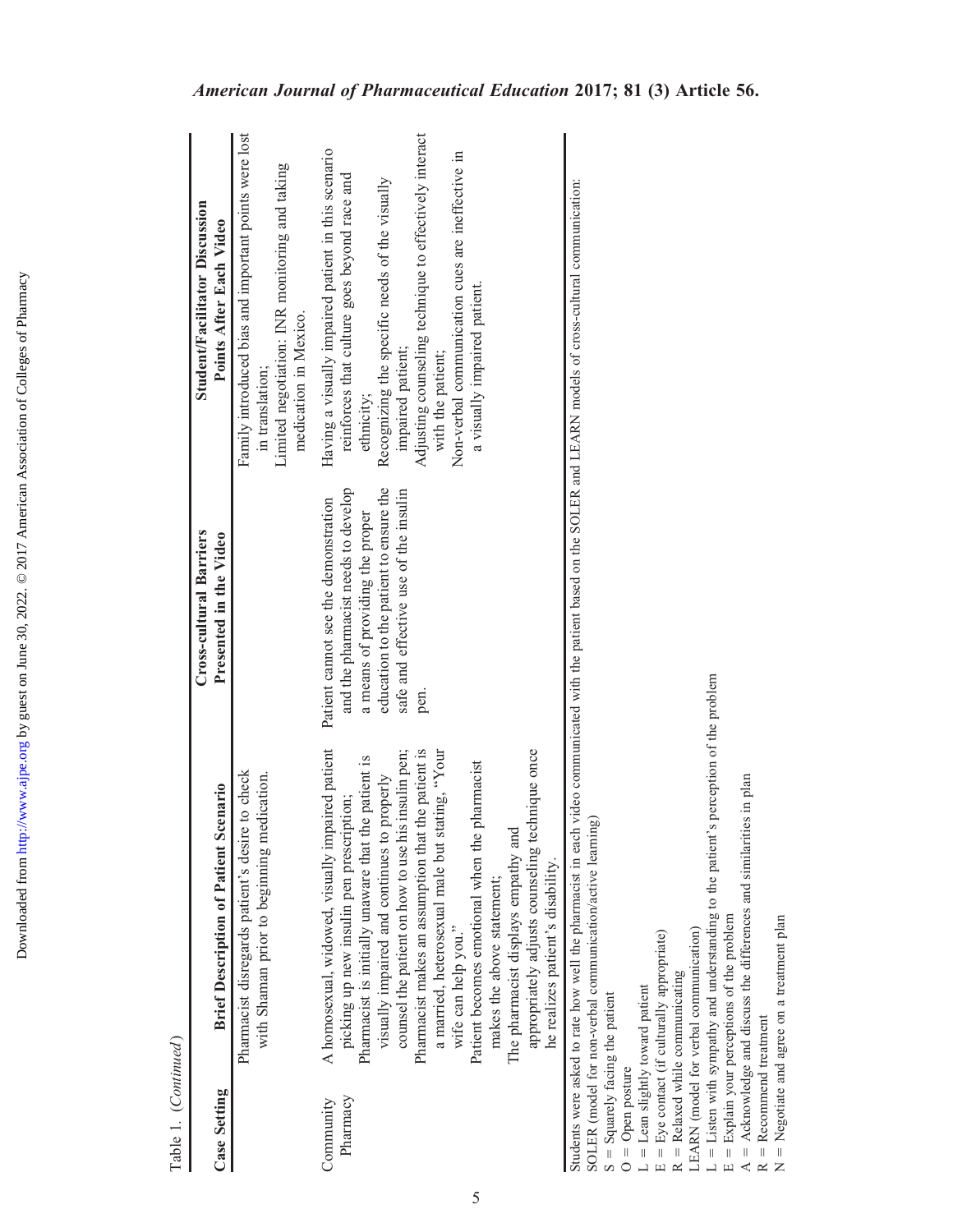|                       |                                                                                                                                                                                                                                                                                                                                                                                                                                                                                                                                                                                                        | Cross-cultural Barriers                                                                                                                                                                                   | Student/Facilitator Discussion                                                                                                                                                                                                                                                                                                                              |
|-----------------------|--------------------------------------------------------------------------------------------------------------------------------------------------------------------------------------------------------------------------------------------------------------------------------------------------------------------------------------------------------------------------------------------------------------------------------------------------------------------------------------------------------------------------------------------------------------------------------------------------------|-----------------------------------------------------------------------------------------------------------------------------------------------------------------------------------------------------------|-------------------------------------------------------------------------------------------------------------------------------------------------------------------------------------------------------------------------------------------------------------------------------------------------------------------------------------------------------------|
| <b>Case Setting</b>   | <b>Brief Description of Patient Scenario</b>                                                                                                                                                                                                                                                                                                                                                                                                                                                                                                                                                           | Presented in the Video                                                                                                                                                                                    | Points After Each Video                                                                                                                                                                                                                                                                                                                                     |
|                       | Pharmacist disregards patient's desire to check<br>with Shaman prior to beginning medication.                                                                                                                                                                                                                                                                                                                                                                                                                                                                                                          |                                                                                                                                                                                                           | Family introduced bias and important points were lost<br>Limited negotiation: INR monitoring and taking<br>medication in Mexico.<br>in translation;                                                                                                                                                                                                         |
| Pharmacy<br>Community | A homosexual, widowed, visually impaired patient<br>appropriately adjusts counseling technique once<br>Pharmacist makes an assumption that the patient is<br>a married, heterosexual male but stating, "Your<br>counsel the patient on how to use his insulin pen;<br>Pharmacist is initially unaware that the patient is<br>Patient becomes emotional when the pharmacist<br>visually impaired and continues to properly<br>picking up new insulin pen prescription;<br>The pharmacist displays empathy and<br>he realizes patient's disability.<br>makes the above statement;<br>wife can help you." | education to the patient to ensure the<br>and the pharmacist needs to develop<br>safe and effective use of the insulin<br>Patient cannot see the demonstration<br>a means of providing the proper<br>pen. | Adjusting counseling technique to effectively interact<br>Having a visually impaired patient in this scenario<br>Non-verbal communication cues are ineffective in<br>reinforces that culture goes beyond race and<br>Recognizing the specific needs of the visually<br>a visually impaired patient.<br>impaired patient;<br>with the patient;<br>ethnicity; |
| $\frac{1}{2}$         | Students were asked to rate how well the pharmacist in each video communicated with the patient based on the SOLER and LEARN models of cross-cultural communication:                                                                                                                                                                                                                                                                                                                                                                                                                                   |                                                                                                                                                                                                           |                                                                                                                                                                                                                                                                                                                                                             |

SOLER (model for non-verbal communication/active learning) SOLER (model for non-verbal communication/active learning)<br> $S =$  Squarely facing the patient

5 Squarely facing the patient

 $O =$ Open posture

 $0 =$  Open posture

 $L \nightharpoonup E$  $L =$  Lean slightly toward patient  $E = Eye$  contact (if culturally appropriate)

 $R =$  Relaxed while communicating

LEARN (model for verbal communication)

コロ  $L = L$ isten with sympathy and understanding to the patient's perception of the problem

 $E =$  Explain your perceptions of the problem  $A = Acknowledge$  and discuss the differences and similarities in plan

AR $R = Reconmend$  treatment  $N =$  Negotiate and agree on a treatment plan

Table 1. (Continued) Table 1. (Continued)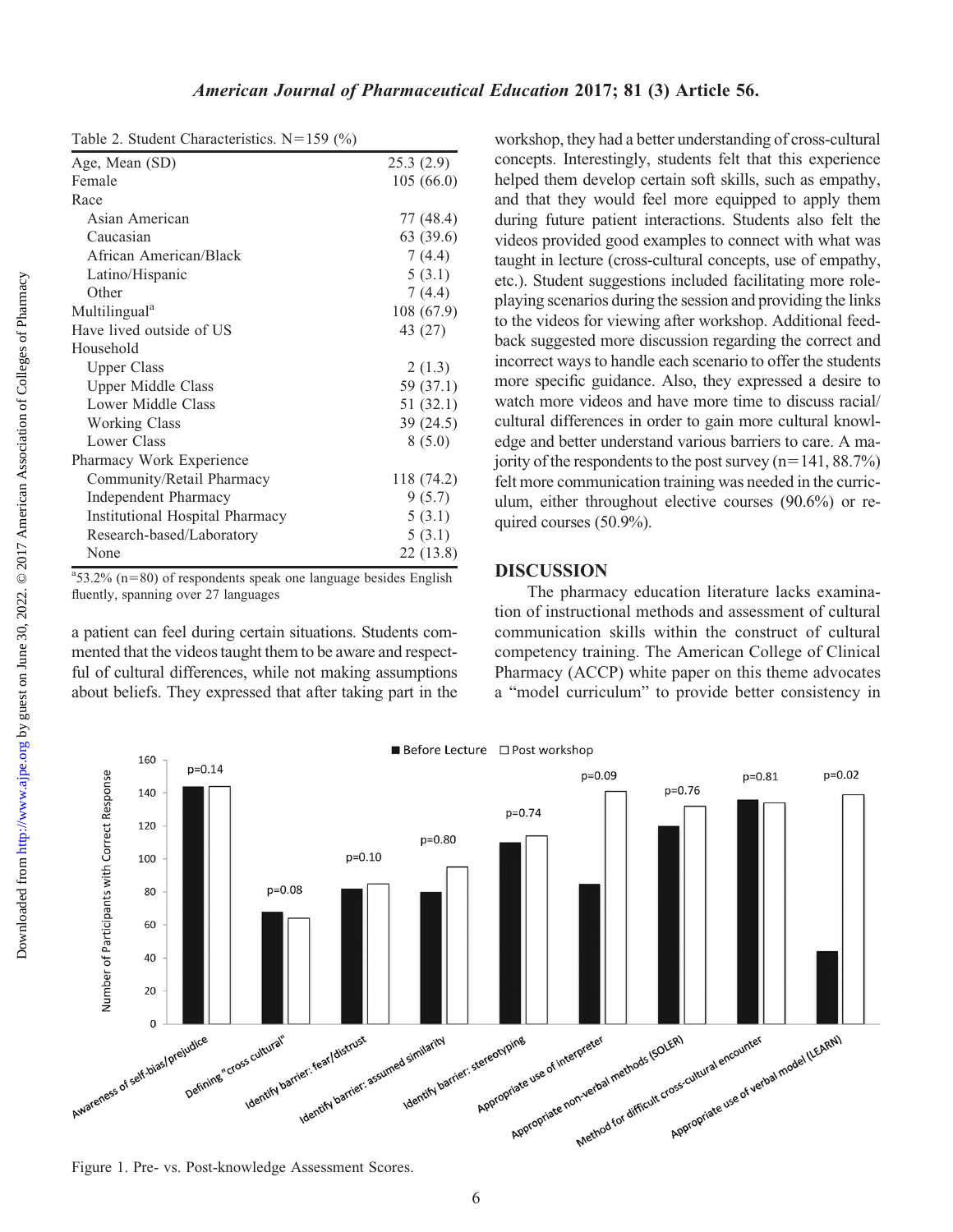Table 2. Student Characteristics.  $N=159$  (%)

| $\Xi$ : Stadent Characternoties: $\vdots$ |            |
|-------------------------------------------|------------|
| Age, Mean (SD)                            | 25.3(2.9)  |
| Female                                    | 105(66.0)  |
| Race                                      |            |
| Asian American                            | 77 (48.4)  |
| Caucasian                                 | 63 (39.6)  |
| African American/Black                    | 7(4.4)     |
| Latino/Hispanic                           | 5(3.1)     |
| Other                                     | 7(4.4)     |
| Multilingual <sup>a</sup>                 | 108 (67.9) |
| Have lived outside of US                  | 43 (27)    |
| Household                                 |            |
| <b>Upper Class</b>                        | 2(1.3)     |
| <b>Upper Middle Class</b>                 | 59 (37.1)  |
| Lower Middle Class                        | 51(32.1)   |
| <b>Working Class</b>                      | 39 (24.5)  |
| Lower Class                               | 8(5.0)     |
| Pharmacy Work Experience                  |            |
| Community/Retail Pharmacy                 | 118 (74.2) |
| <b>Independent Pharmacy</b>               | 9(5.7)     |
| Institutional Hospital Pharmacy           | 5(3.1)     |
| Research-based/Laboratory                 | 5(3.1)     |
| None                                      | 22 (13.8)  |

 $a$ <sup>3</sup>53.2% (n=80) of respondents speak one language besides English fluently, spanning over 27 languages

a patient can feel during certain situations. Students commented that the videos taught them to be aware and respectful of cultural differences, while not making assumptions about beliefs. They expressed that after taking part in the

workshop, they had a better understanding of cross-cultural concepts. Interestingly, students felt that this experience helped them develop certain soft skills, such as empathy, and that they would feel more equipped to apply them during future patient interactions. Students also felt the videos provided good examples to connect with what was taught in lecture (cross-cultural concepts, use of empathy, etc.). Student suggestions included facilitating more roleplaying scenarios during the session and providing the links to the videos for viewing after workshop. Additional feedback suggested more discussion regarding the correct and incorrect ways to handle each scenario to offer the students more specific guidance. Also, they expressed a desire to watch more videos and have more time to discuss racial/ cultural differences in order to gain more cultural knowledge and better understand various barriers to care. A majority of the respondents to the post survey  $(n=141, 88.7%)$ felt more communication training was needed in the curriculum, either throughout elective courses (90.6%) or required courses (50.9%).

#### DISCUSSION

The pharmacy education literature lacks examination of instructional methods and assessment of cultural communication skills within the construct of cultural competency training. The American College of Clinical Pharmacy (ACCP) white paper on this theme advocates a "model curriculum" to provide better consistency in





Figure 1. Pre- vs. Post-knowledge Assessment Scores.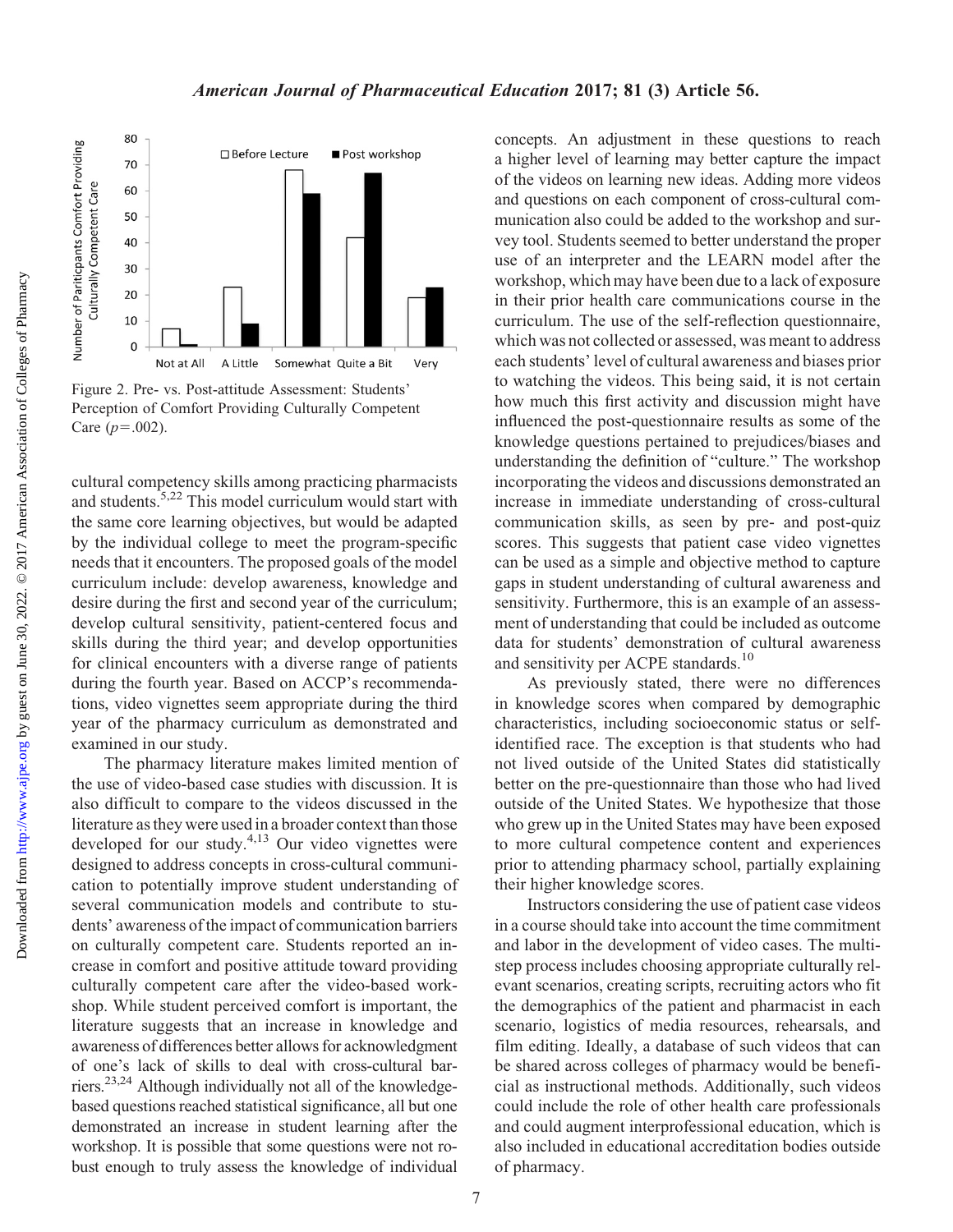

Figure 2. Pre- vs. Post-attitude Assessment: Students' Perception of Comfort Providing Culturally Competent Care  $(p=.002)$ .

cultural competency skills among practicing pharmacists and students.<sup>5,22</sup> This model curriculum would start with the same core learning objectives, but would be adapted by the individual college to meet the program-specific needs that it encounters. The proposed goals of the model curriculum include: develop awareness, knowledge and desire during the first and second year of the curriculum; develop cultural sensitivity, patient-centered focus and skills during the third year; and develop opportunities for clinical encounters with a diverse range of patients during the fourth year. Based on ACCP's recommendations, video vignettes seem appropriate during the third year of the pharmacy curriculum as demonstrated and examined in our study.

The pharmacy literature makes limited mention of the use of video-based case studies with discussion. It is also difficult to compare to the videos discussed in the literature as they were used in a broader context than those developed for our study.<sup>4,13</sup> Our video vignettes were designed to address concepts in cross-cultural communication to potentially improve student understanding of several communication models and contribute to students' awareness of the impact of communication barriers on culturally competent care. Students reported an increase in comfort and positive attitude toward providing culturally competent care after the video-based workshop. While student perceived comfort is important, the literature suggests that an increase in knowledge and awareness of differences better allows for acknowledgment of one's lack of skills to deal with cross-cultural barriers.23,24 Although individually not all of the knowledgebased questions reached statistical significance, all but one demonstrated an increase in student learning after the workshop. It is possible that some questions were not robust enough to truly assess the knowledge of individual

concepts. An adjustment in these questions to reach a higher level of learning may better capture the impact of the videos on learning new ideas. Adding more videos and questions on each component of cross-cultural communication also could be added to the workshop and survey tool. Students seemed to better understand the proper use of an interpreter and the LEARN model after the workshop, which may have been due to a lack of exposure in their prior health care communications course in the curriculum. The use of the self-reflection questionnaire, which was not collected or assessed, was meant to address each students' level of cultural awareness and biases prior to watching the videos. This being said, it is not certain how much this first activity and discussion might have influenced the post-questionnaire results as some of the knowledge questions pertained to prejudices/biases and understanding the definition of "culture." The workshop incorporating the videos and discussions demonstrated an increase in immediate understanding of cross-cultural communication skills, as seen by pre- and post-quiz scores. This suggests that patient case video vignettes can be used as a simple and objective method to capture gaps in student understanding of cultural awareness and sensitivity. Furthermore, this is an example of an assessment of understanding that could be included as outcome data for students' demonstration of cultural awareness and sensitivity per ACPE standards.<sup>10</sup>

As previously stated, there were no differences in knowledge scores when compared by demographic characteristics, including socioeconomic status or selfidentified race. The exception is that students who had not lived outside of the United States did statistically better on the pre-questionnaire than those who had lived outside of the United States. We hypothesize that those who grew up in the United States may have been exposed to more cultural competence content and experiences prior to attending pharmacy school, partially explaining their higher knowledge scores.

Instructors considering the use of patient case videos in a course should take into account the time commitment and labor in the development of video cases. The multistep process includes choosing appropriate culturally relevant scenarios, creating scripts, recruiting actors who fit the demographics of the patient and pharmacist in each scenario, logistics of media resources, rehearsals, and film editing. Ideally, a database of such videos that can be shared across colleges of pharmacy would be beneficial as instructional methods. Additionally, such videos could include the role of other health care professionals and could augment interprofessional education, which is also included in educational accreditation bodies outside of pharmacy.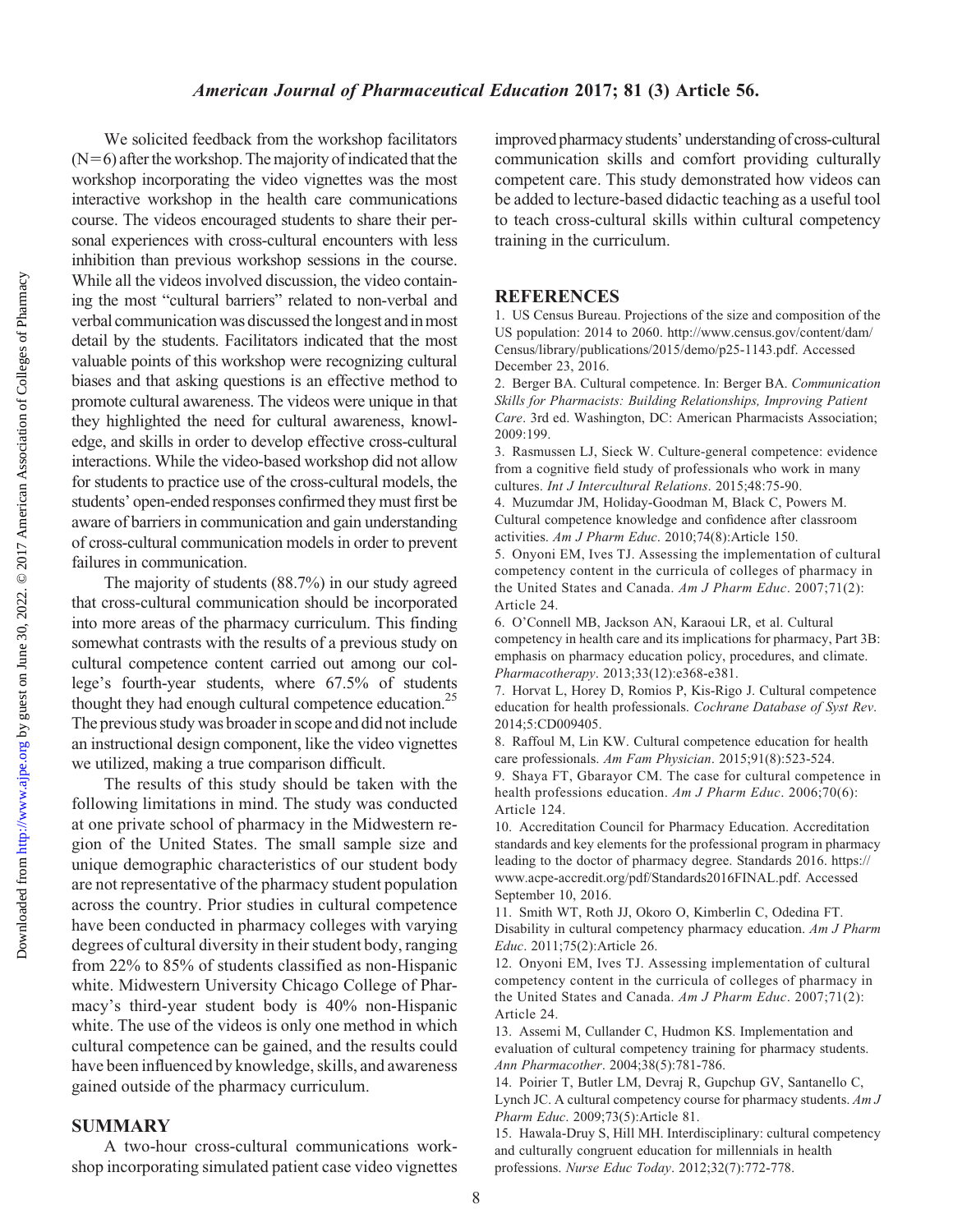### American Journal of Pharmaceutical Education 2017; 81 (3) Article 56.

We solicited feedback from the workshop facilitators  $(N=6)$  after the workshop. The majority of indicated that the workshop incorporating the video vignettes was the most interactive workshop in the health care communications course. The videos encouraged students to share their personal experiences with cross-cultural encounters with less inhibition than previous workshop sessions in the course. While all the videos involved discussion, the video containing the most "cultural barriers" related to non-verbal and verbal communication was discussedthelongest andinmost detail by the students. Facilitators indicated that the most valuable points of this workshop were recognizing cultural biases and that asking questions is an effective method to promote cultural awareness. The videos were unique in that they highlighted the need for cultural awareness, knowledge, and skills in order to develop effective cross-cultural interactions. While the video-based workshop did not allow for students to practice use of the cross-cultural models, the students' open-ended responses confirmed they must first be aware of barriers in communication and gain understanding of cross-cultural communication models in order to prevent failures in communication.

The majority of students (88.7%) in our study agreed that cross-cultural communication should be incorporated into more areas of the pharmacy curriculum. This finding somewhat contrasts with the results of a previous study on cultural competence content carried out among our college's fourth-year students, where 67.5% of students thought they had enough cultural competence education.<sup>25</sup> The previous study was broader in scope and did not include an instructional design component, like the video vignettes we utilized, making a true comparison difficult.

The results of this study should be taken with the following limitations in mind. The study was conducted at one private school of pharmacy in the Midwestern region of the United States. The small sample size and unique demographic characteristics of our student body are not representative of the pharmacy student population across the country. Prior studies in cultural competence have been conducted in pharmacy colleges with varying degrees of cultural diversity in their student body, ranging from 22% to 85% of students classified as non-Hispanic white. Midwestern University Chicago College of Pharmacy's third-year student body is 40% non-Hispanic white. The use of the videos is only one method in which cultural competence can be gained, and the results could have been influenced by knowledge, skills, and awareness gained outside of the pharmacy curriculum.

#### SUMMARY

A two-hour cross-cultural communications workshop incorporating simulated patient case video vignettes

improved pharmacy students' understanding of cross-cultural communication skills and comfort providing culturally competent care. This study demonstrated how videos can be added to lecture-based didactic teaching as a useful tool to teach cross-cultural skills within cultural competency training in the curriculum.

#### REFERENCES

1. US Census Bureau. Projections of the size and composition of the US population: 2014 to 2060. [http://www.census.gov/content/dam/](http://www.census.gov/content/dam/Census/library/publications/2015/demo/p25-1143.pdf) [Census/library/publications/2015/demo/p25-1143.pdf.](http://www.census.gov/content/dam/Census/library/publications/2015/demo/p25-1143.pdf) Accessed December 23, 2016.

2. Berger BA. Cultural competence. In: Berger BA. Communication Skills for Pharmacists: Building Relationships, Improving Patient Care. 3rd ed. Washington, DC: American Pharmacists Association; 2009:199.

3. Rasmussen LJ, Sieck W. Culture-general competence: evidence from a cognitive field study of professionals who work in many cultures. Int J Intercultural Relations. 2015;48:75-90.

4. Muzumdar JM, Holiday-Goodman M, Black C, Powers M. Cultural competence knowledge and confidence after classroom activities. Am J Pharm Educ. 2010;74(8):Article 150.

5. Onyoni EM, Ives TJ. Assessing the implementation of cultural competency content in the curricula of colleges of pharmacy in the United States and Canada. Am J Pharm Educ. 2007;71(2): Article 24.

6. O'Connell MB, Jackson AN, Karaoui LR, et al. Cultural competency in health care and its implications for pharmacy, Part 3B: emphasis on pharmacy education policy, procedures, and climate. Pharmacotherapy. 2013;33(12):e368-e381.

7. Horvat L, Horey D, Romios P, Kis-Rigo J. Cultural competence education for health professionals. Cochrane Database of Syst Rev. 2014;5:CD009405.

8. Raffoul M, Lin KW. Cultural competence education for health care professionals. Am Fam Physician. 2015;91(8):523-524. 9. Shaya FT, Gbarayor CM. The case for cultural competence in

health professions education. Am J Pharm Educ. 2006;70(6): Article 124.

10. Accreditation Council for Pharmacy Education. Accreditation standards and key elements for the professional program in pharmacy leading to the doctor of pharmacy degree. Standards 2016. [https://](https://www.acpe-accredit.org/pdf/Standards2016FINAL.pdf) [www.acpe-accredit.org/pdf/Standards2016FINAL.pdf.](https://www.acpe-accredit.org/pdf/Standards2016FINAL.pdf) Accessed September 10, 2016.

11. Smith WT, Roth JJ, Okoro O, Kimberlin C, Odedina FT. Disability in cultural competency pharmacy education. Am J Pharm Educ. 2011;75(2):Article 26.

12. Onyoni EM, Ives TJ. Assessing implementation of cultural competency content in the curricula of colleges of pharmacy in the United States and Canada. Am J Pharm Educ. 2007;71(2): Article 24.

13. Assemi M, Cullander C, Hudmon KS. Implementation and evaluation of cultural competency training for pharmacy students. Ann Pharmacother. 2004;38(5):781-786.

14. Poirier T, Butler LM, Devraj R, Gupchup GV, Santanello C, Lynch JC. A cultural competency course for pharmacy students. Am J Pharm Educ. 2009;73(5):Article 81.

15. Hawala-Druy S, Hill MH. Interdisciplinary: cultural competency and culturally congruent education for millennials in health professions. Nurse Educ Today. 2012;32(7):772-778.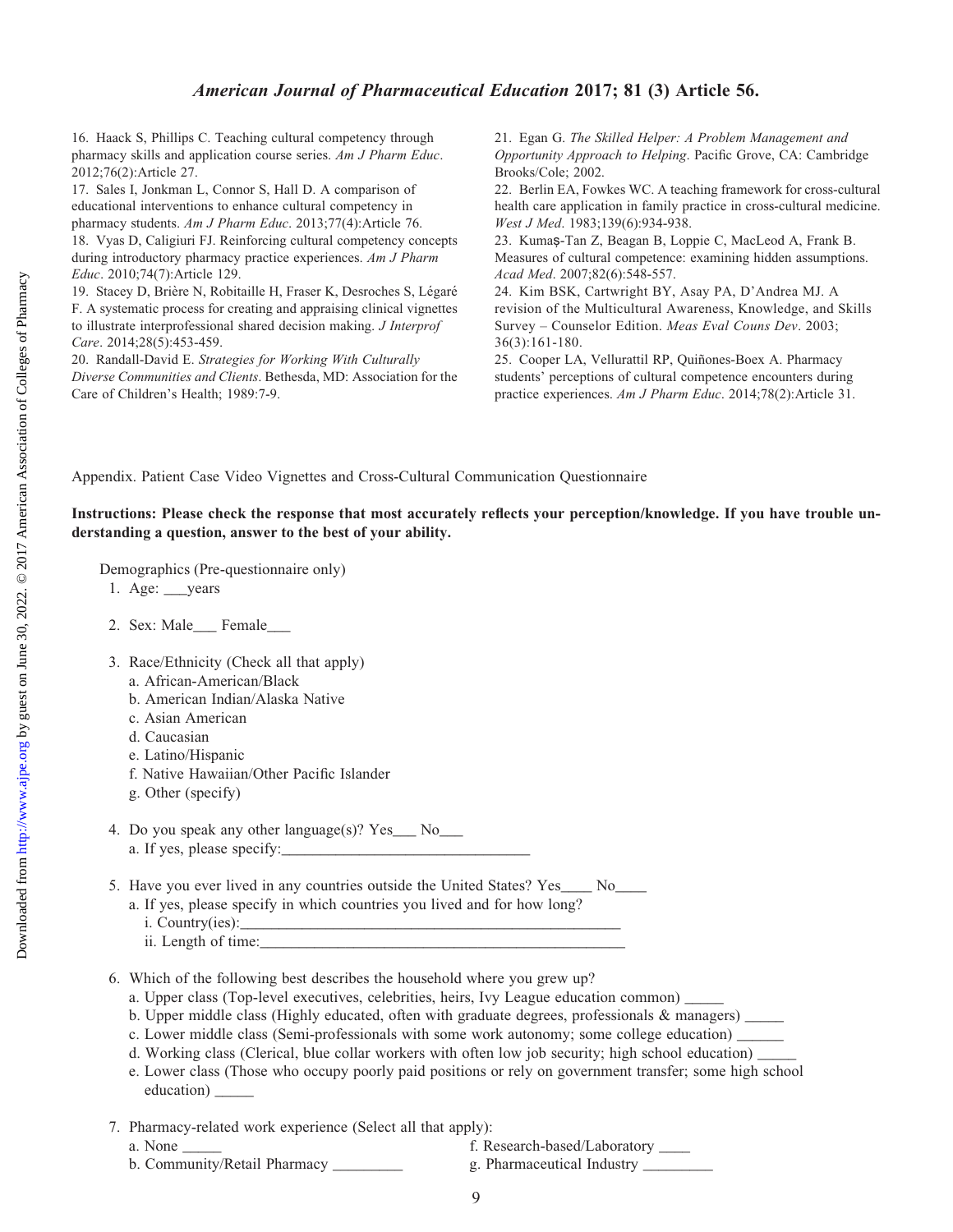## American Journal of Pharmaceutical Education 2017; 81 (3) Article 56.

16. Haack S, Phillips C. Teaching cultural competency through pharmacy skills and application course series. Am J Pharm Educ. 2012;76(2):Article 27.

17. Sales I, Jonkman L, Connor S, Hall D. A comparison of educational interventions to enhance cultural competency in pharmacy students. Am J Pharm Educ. 2013;77(4):Article 76. 18. Vyas D, Caligiuri FJ. Reinforcing cultural competency concepts

during introductory pharmacy practice experiences. Am J Pharm Educ. 2010;74(7):Article 129.

19. Stacey D, Brière N, Robitaille H, Fraser K, Desroches S, Légaré F. A systematic process for creating and appraising clinical vignettes to illustrate interprofessional shared decision making. J Interprof Care. 2014;28(5):453-459.

20. Randall-David E. Strategies for Working With Culturally Diverse Communities and Clients. Bethesda, MD: Association for the Care of Children's Health; 1989:7-9.

21. Egan G. The Skilled Helper: A Problem Management and Opportunity Approach to Helping. Pacific Grove, CA: Cambridge Brooks/Cole; 2002.

22. Berlin EA, Fowkes WC. A teaching framework for cross-cultural health care application in family practice in cross-cultural medicine. West J Med. 1983;139(6):934-938.

23. Kumaş-Tan Z, Beagan B, Loppie C, MacLeod A, Frank B. Measures of cultural competence: examining hidden assumptions. Acad Med. 2007;82(6):548-557.

24. Kim BSK, Cartwright BY, Asay PA, D'Andrea MJ. A revision of the Multicultural Awareness, Knowledge, and Skills Survey – Counselor Edition. Meas Eval Couns Dev. 2003; 36(3):161-180.

25. Cooper LA, Vellurattil RP, Quiñones-Boex A. Pharmacy students' perceptions of cultural competence encounters during practice experiences. Am J Pharm Educ. 2014;78(2):Article 31.

Appendix. Patient Case Video Vignettes and Cross-Cultural Communication Questionnaire

#### Instructions: Please check the response that most accurately reflects your perception/knowledge. If you have trouble understanding a question, answer to the best of your ability.

Demographics (Pre-questionnaire only)

- 1. Age: \_\_\_years
- 2. Sex: Male\_\_\_ Female\_\_\_
- 3. Race/Ethnicity (Check all that apply)
	- a. African-American/Black
	- b. American Indian/Alaska Native
	- c. Asian American
	- d. Caucasian
	- e. Latino/Hispanic
	- f. Native Hawaiian/Other Pacific Islander
	- g. Other (specify)
- 4. Do you speak any other language(s)? Yes\_\_\_ No\_\_\_ a. If yes, please specify:
- 5. Have you ever lived in any countries outside the United States? Yes \_\_\_\_ No\_\_\_
	- a. If yes, please specify in which countries you lived and for how long? i. Country(ies):\_\_\_\_\_\_\_\_\_\_\_\_\_\_\_\_\_\_\_\_\_\_\_\_\_\_\_\_\_\_\_\_\_\_\_\_\_\_\_\_\_\_\_\_\_\_\_\_\_
		- ii. Length of time:\_\_\_\_\_\_\_\_\_\_\_\_\_\_\_\_\_\_\_\_\_\_\_\_\_\_\_\_\_\_\_\_\_\_\_\_\_\_\_\_\_\_\_\_\_\_\_

6. Which of the following best describes the household where you grew up?

a. Upper class (Top-level executives, celebrities, heirs, Ivy League education common)

b. Upper middle class (Highly educated, often with graduate degrees, professionals & managers) \_\_\_\_\_

- c. Lower middle class (Semi-professionals with some work autonomy; some college education)  $\equiv$
- d. Working class (Clerical, blue collar workers with often low job security; high school education) \_\_\_\_\_
- e. Lower class (Those who occupy poorly paid positions or rely on government transfer; some high school education) \_\_\_\_\_\_
- 7. Pharmacy-related work experience (Select all that apply):
- 
- a. None \_\_\_\_\_ f. Research-based/Laboratory \_\_\_\_ b. Community/Retail Pharmacy \_\_\_\_\_\_\_\_\_\_\_ g. Pharmaceutical Industry \_\_\_\_\_\_
	-
	- 9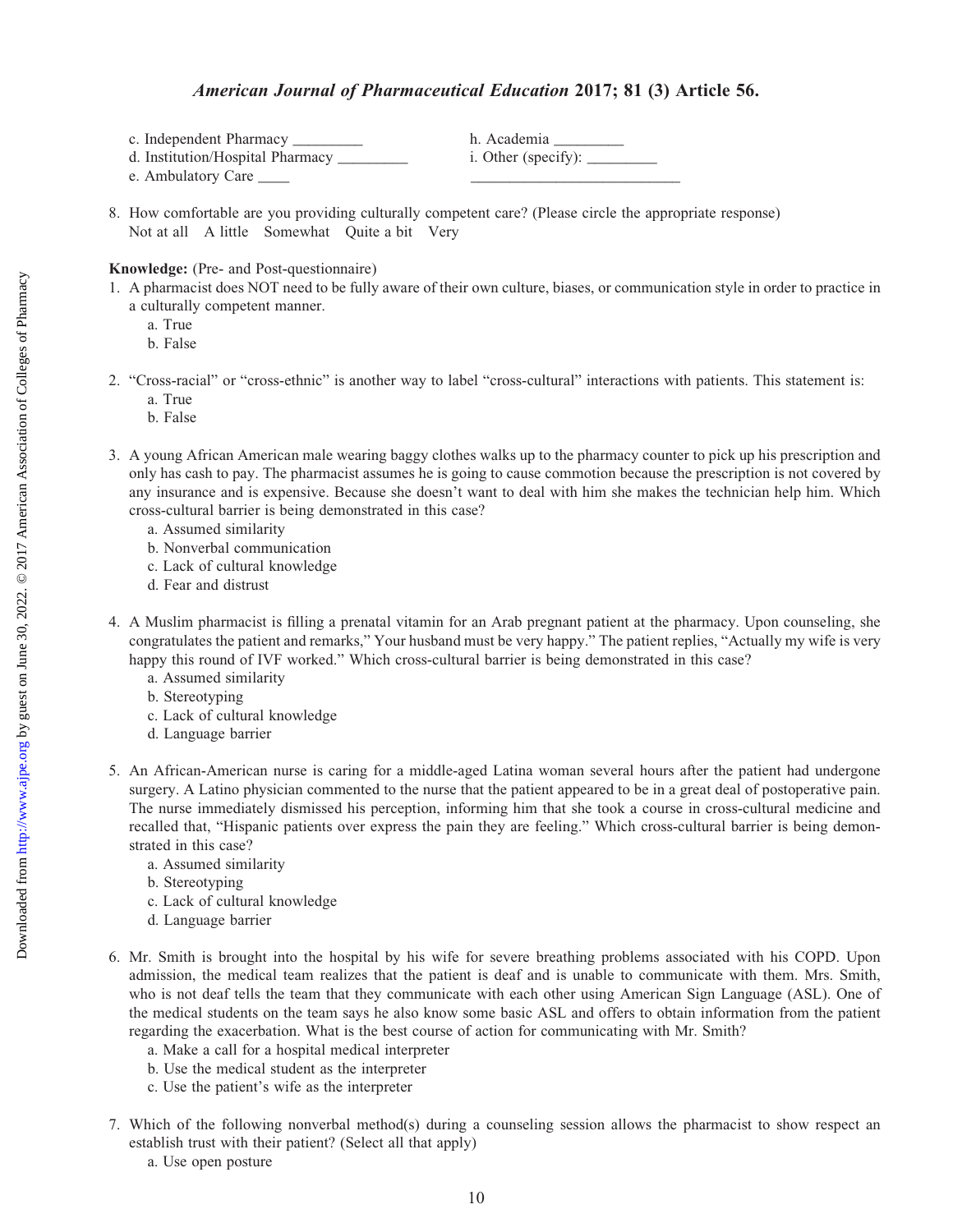## American Journal of Pharmaceutical Education 2017; 81 (3) Article 56.

| c. Independent Pharmacy            | h. Academia                                                                              |
|------------------------------------|------------------------------------------------------------------------------------------|
| d. Institution/Hospital Pharmacy _ | i. Other (specify): $\_\_\_\_\_\_\_\_\_\_\_\_\_\_\_\_\_\_\_\_\_\_\_\_\_\_\_\_\_\_\_\_\_$ |
| e. Ambulatory Care                 |                                                                                          |

8. How comfortable are you providing culturally competent care? (Please circle the appropriate response) Not at all A little Somewhat Quite a bit Very

Knowledge: (Pre- and Post-questionnaire)

- 1. A pharmacist does NOT need to be fully aware of their own culture, biases, or communication style in order to practice in a culturally competent manner.
	- a. True
	- b. False
- 2. "Cross-racial" or "cross-ethnic" is another way to label "cross-cultural" interactions with patients. This statement is: a. True
	- b. False
- 3. A young African American male wearing baggy clothes walks up to the pharmacy counter to pick up his prescription and only has cash to pay. The pharmacist assumes he is going to cause commotion because the prescription is not covered by any insurance and is expensive. Because she doesn't want to deal with him she makes the technician help him. Which cross-cultural barrier is being demonstrated in this case?
	- a. Assumed similarity
	- b. Nonverbal communication
	- c. Lack of cultural knowledge
	- d. Fear and distrust
- 4. A Muslim pharmacist is filling a prenatal vitamin for an Arab pregnant patient at the pharmacy. Upon counseling, she congratulates the patient and remarks," Your husband must be very happy." The patient replies, "Actually my wife is very happy this round of IVF worked." Which cross-cultural barrier is being demonstrated in this case?
	- a. Assumed similarity
	- b. Stereotyping
	- c. Lack of cultural knowledge
	- d. Language barrier
- 5. An African-American nurse is caring for a middle-aged Latina woman several hours after the patient had undergone surgery. A Latino physician commented to the nurse that the patient appeared to be in a great deal of postoperative pain. The nurse immediately dismissed his perception, informing him that she took a course in cross-cultural medicine and recalled that, "Hispanic patients over express the pain they are feeling." Which cross-cultural barrier is being demonstrated in this case?
	- a. Assumed similarity
	- b. Stereotyping
	- c. Lack of cultural knowledge
	- d. Language barrier
- 6. Mr. Smith is brought into the hospital by his wife for severe breathing problems associated with his COPD. Upon admission, the medical team realizes that the patient is deaf and is unable to communicate with them. Mrs. Smith, who is not deaf tells the team that they communicate with each other using American Sign Language (ASL). One of the medical students on the team says he also know some basic ASL and offers to obtain information from the patient regarding the exacerbation. What is the best course of action for communicating with Mr. Smith?
	- a. Make a call for a hospital medical interpreter
	- b. Use the medical student as the interpreter
	- c. Use the patient's wife as the interpreter
- 7. Which of the following nonverbal method(s) during a counseling session allows the pharmacist to show respect an establish trust with their patient? (Select all that apply)
	- a. Use open posture